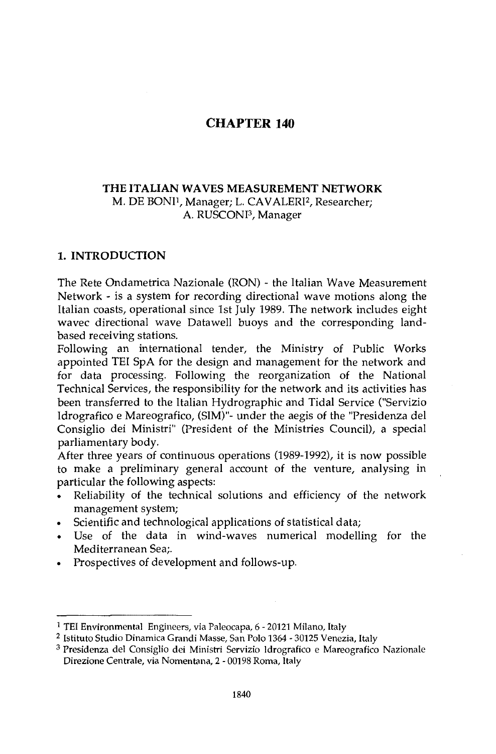# CHAPTER 140

## **THE ITALIAN WAVES MEASUREMENT NETWORK** M. DE BONI<sup>1</sup>, Manager; L. CAVALERI<sup>2</sup>, Researcher; A. RUSCONI<sup>3</sup>, Manager

### **1. INTRODUCTION**

The Rete Ondametrica Nazionale (RON) - the Italian Wave Measurement Network - is a system for recording directional wave motions along the Italian coasts, operational since 1st July 1989. The network includes eight wavec directional wave Datawell buoys and the corresponding landbased receiving stations.

Following an international tender, the Ministry of Public Works appointed TEI SpA for the design and management for the network and for data processing. Following the reorganization of the National Technical Services, the responsibility for the network and its activities has been transferred to the Italian Hydrographic and Tidal Service ("Servizio Idrografico e Mareografico, (SIM)"- under the aegis of the 'Presidenza del Consiglio dei Ministri" (President of the Ministries Council), a special parliamentary body.

After three years of continuous operations (1989-1992), it is now possible to make a preliminary general account of the venture, analysing in particular the following aspects:

- Reliability of the technical solutions and efficiency of the network management system;
- Scientific and technological applications of statistical data;
- Use of the data in wind-waves numerical modelling for the Mediterranean Sea;.
- Prospectives of development and follows-up.

<sup>1</sup> TEI Environmental Engineers, via Paleocapa, 6 - 20121 Milano, Italy

<sup>2</sup> Istituto Studio Dinamica Grandi Masse, San Polo 1364 - 30125 Venezia, Italy

<sup>3</sup> Presidenza del Consiglio dei Ministri Servizio Idrografico e Mareografico Nazionale Direzione Centrale, via Nomentana, 2 - 00198 Roma, Italy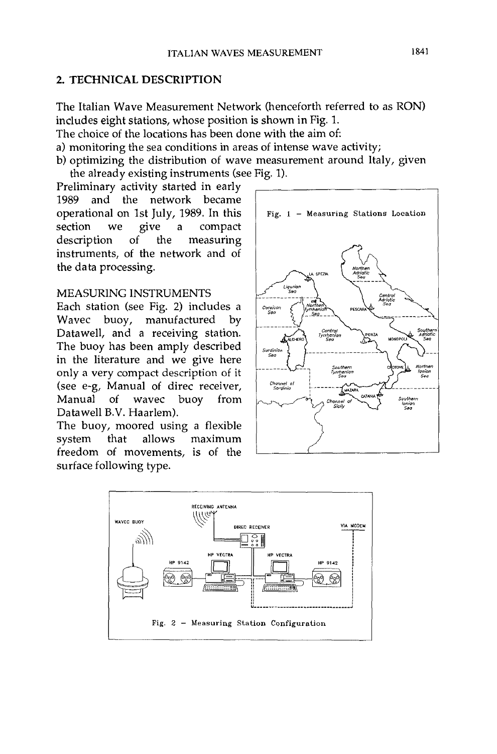### **2. TECHNICAL DESCRIPTION**

The Italian Wave Measurement Network (henceforth referred to as RON) includes eight stations, whose position is shown in Fig. 1.

The choice of the locations has been done with the aim of:

- a) monitoring the sea conditions in areas of intense wave activity;
- b) optimizing the distribution of wave measurement around Italy, given the already existing instruments (see Fig. 1).

Preliminary activity started in early 1989 and the network became operational on 1st July, 1989. In this section we give a compact description of the measuring instruments, of the network and of the data processing.

#### MEASURING INSTRUMENTS

Each station (see Fig. 2) includes a Wavec buoy, manufactured by Datawell, and a receiving station. The buoy has been amply described in the literature and we give here only a very compact description of it (see e-g, Manual of direc receiver, Manual of wavec buoy from Datawell B.V. Haarlem).

The buoy, moored using a flexible system that allows maximum freedom of movements, is of the surface following type.



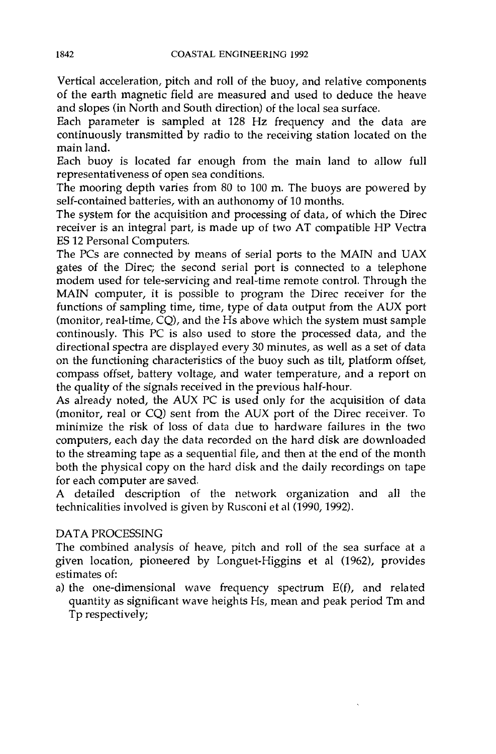Vertical acceleration, pitch and roll of the buoy, and relative components of the earth magnetic field are measured and used to deduce the heave and slopes (in North and South direction) of the local sea surface.

Each parameter is sampled at 128 Hz frequency and the data are continuously transmitted by radio to the receiving station located on the main land.

Each buoy is located far enough from the main land to allow full representativeness of open sea conditions.

The mooring depth varies from 80 to 100 m. The buoys are powered by self-contained batteries, with an authonomy of 10 months.

The system for the acquisition and processing of data, of which the Direc receiver is an integral part, is made up of two AT compatible HP Vectra ES 12 Personal Computers.

The PCs are connected by means of serial ports to the MAIN and UAX gates of the Direc; the second serial port is connected to a telephone modem used for tele-servicing and real-time remote control. Through the MAIN computer, it is possible to program the Direc receiver for the functions of sampling time, time, type of data output from the AUX port (monitor, real-time, CQ), and the Hs above which the system must sample continously. This PC is also used to store the processed data, and the directional spectra are displayed every 30 minutes, as well as a set of data on the functioning characteristics of the buoy such as tilt, platform offset, compass offset, battery voltage, and water temperature, and a report on the quality of the signals received in the previous half-hour.

As already noted, the AUX PC is used only for the acquisition of data (monitor, real or CQ) sent from the AUX port of the Direc receiver. To minimize the risk of loss of data due to hardware failures in the two computers, each day the data recorded on the hard disk are downloaded to the streaming tape as a sequential file, and then at the end of the month both the physical copy on the hard disk and the daily recordings on tape for each computer are saved.

A detailed description of the network organization and all the technicalities involved is given by Rusconi et al (1990, 1992).

## DATA PROCESSING

The combined analysis of heave, pitch and roll of the sea surface at a given location, pioneered by Longuet-Higgins et al (1962), provides estimates of:

a) the one-dimensional wave frequency spectrum E(f), and related quantity as significant wave heights Hs, mean and peak period Tm and Tp respectively;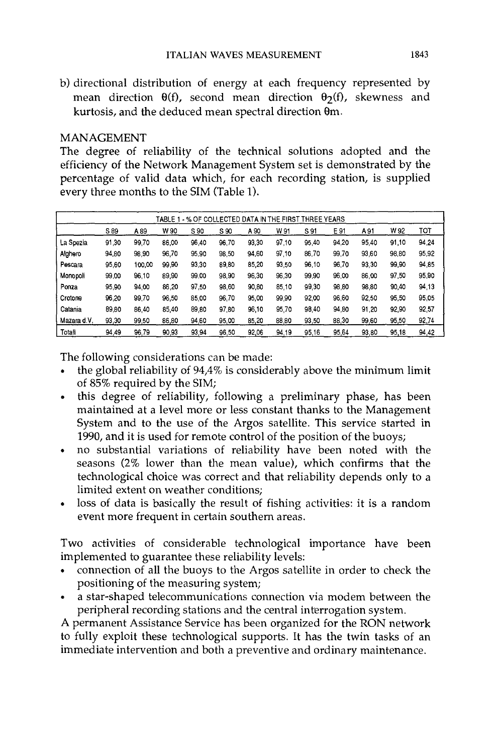b) directional distribution of energy at each frequency represented by mean direction  $\theta(f)$ , second mean direction  $\theta_2(f)$ , skewness and kurtosis, and the deduced mean spectral direction 9m.

## MANAGEMENT

The degree of reliability of the technical solutions adopted and the efficiency of the Network Management System set is demonstrated by the percentage of valid data which, for each recording station, is supplied every three months to the SIM (Table 1).

| TABLE 1 - % OF COLLECTED DATA IN THE FIRST THREE YEARS |       |        |       |       |       |       |       |       |       |       |       |            |
|--------------------------------------------------------|-------|--------|-------|-------|-------|-------|-------|-------|-------|-------|-------|------------|
|                                                        | S 89  | A 89   | W 90  | S 90  | S 90  | A 90  | W 91  | S 91  | E 91  | A 91  | W 92  | <b>TOT</b> |
| La Spezia                                              | 91,30 | 99,70  | 86.00 | 96.40 | 96,70 | 93,30 | 97.10 | 95.40 | 94.20 | 95.40 | 91.10 | 94,24      |
| Alghero                                                | 94.80 | 98.90  | 96,70 | 95,90 | 98.50 | 94,60 | 97.10 | 86,70 | 99,70 | 93,60 | 98.80 | 95,92      |
| Pescara                                                | 95,60 | 100,00 | 99.90 | 93,30 | 89,80 | 85,20 | 93.50 | 96,10 | 96,70 | 93.30 | 99,90 | 94,85      |
| Monopoli                                               | 99,00 | 96,10  | 89.90 | 99.00 | 98,90 | 96,30 | 96.30 | 99,90 | 96.00 | 86.00 | 97.50 | 95,90      |
| Ponza                                                  | 95,90 | 94.00  | 86,20 | 97,50 | 98,60 | 90,80 | 85.10 | 99,30 | 98,80 | 98,80 | 90,40 | 94.13      |
| Crotone                                                | 96,20 | 99,70  | 96,50 | 85,00 | 96,70 | 95,00 | 99.90 | 92,00 | 96.60 | 92.50 | 95,50 | 95,05      |
| Catania                                                | 89,80 | 86,40  | 85,40 | 89,80 | 97,80 | 96,10 | 95,70 | 98,40 | 94,80 | 91,20 | 92,90 | 92,57      |
| Mazara d.V.                                            | 93,30 | 99,50  | 86.80 | 94.60 | 95.00 | 85.20 | 88,80 | 93.50 | 88,30 | 99.60 | 95,50 | 92,74      |
| Totali                                                 | 94.49 | 96.79  | 90.93 | 93.94 | 96.50 | 92.06 | 94,19 | 95,16 | 95,64 | 93,80 | 95,18 | 94,42      |

The following considerations can be made:

- the global reliability of  $94.4\%$  is considerably above the minimum limit of 85% required by the SIM;
- this degree of reliability, following a preliminary phase, has been maintained at a level more or less constant thanks to the Management System and to the use of the Argos satellite. This service started in 1990, and it is used for remote control of the position of the buoys;
- no substantial variations of reliability have been noted with the seasons (2% lower than the mean value), which confirms that the technological choice was correct and that reliability depends only to a limited extent on weather conditions;
- loss of data is basically the result of fishing activities: it is a random event more frequent in certain southern areas.

Two activities of considerable technological importance have been implemented to guarantee these reliability levels:

- connection of all the buoys to the Argos satellite in order to check the positioning of the measuring system;
- a star-shaped telecommunications connection via modem between the peripheral recording stations and the central interrogation system.

A permanent Assistance Service has been organized for the RON network to fully exploit these technological supports. It has the twin tasks of an immediate intervention and both a preventive and ordinary maintenance.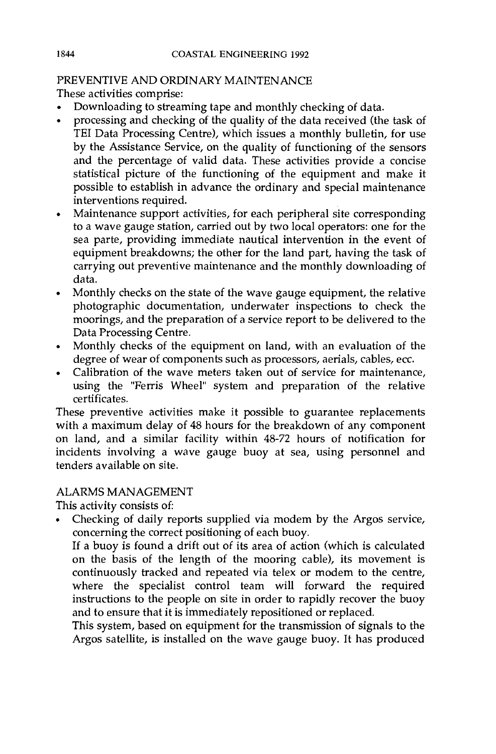# PREVENTIVE AND ORDINARY MAINTENANCE

These activities comprise:

- Downloading to streaming tape and monthly checking of data.
- processing and checking of the quality of the data received (the task of TEI Data Processing Centre), which issues a monthly bulletin, for use by the Assistance Service, on the quality of functioning of the sensors and the percentage of valid data. These activities provide a concise statistical picture of the functioning of the equipment and make it possible to establish in advance the ordinary and special maintenance interventions required.
- Maintenance support activities, for each peripheral site corresponding to a wave gauge station, carried out by two local operators: one for the sea parte, providing immediate nautical intervention in the event of equipment breakdowns; the other for the land part, having the task of carrying out preventive maintenance and the monthly downloading of data.
- Monthly checks on the state of the wave gauge equipment, the relative photographic documentation, underwater inspections to check the moorings, and the preparation of a service report to be delivered to the Data Processing Centre.
- Monthly checks of the equipment on land, with an evaluation of the degree of wear of components such as processors, aerials, cables, ecc.
- Calibration of the wave meters taken out of service for maintenance, using the "Ferris Wheel" system and preparation of the relative certificates.

These preventive activities make it possible to guarantee replacements with a maximum delay of 48 hours for the breakdown of any component on land, and a similar facility within 48-72 hours of notification for incidents involving a wave gauge buoy at sea, using personnel and tenders available on site.

# ALARMS MANAGEMENT

This activity consists of:

• Checking of daily reports supplied via modem by the Argos service, concerning the correct positioning of each buoy.

If a buoy is found a drift out of its area of action (which is calculated on the basis of the length of the mooring cable), its movement is continuously tracked and repeated via telex or modem to the centre, where the specialist control team will forward the required instructions to the people on site in order to rapidly recover the buoy and to ensure that it is immediately repositioned or replaced.

This system, based on equipment for the transmission of signals to the Argos satellite, is installed on the wave gauge buoy. It has produced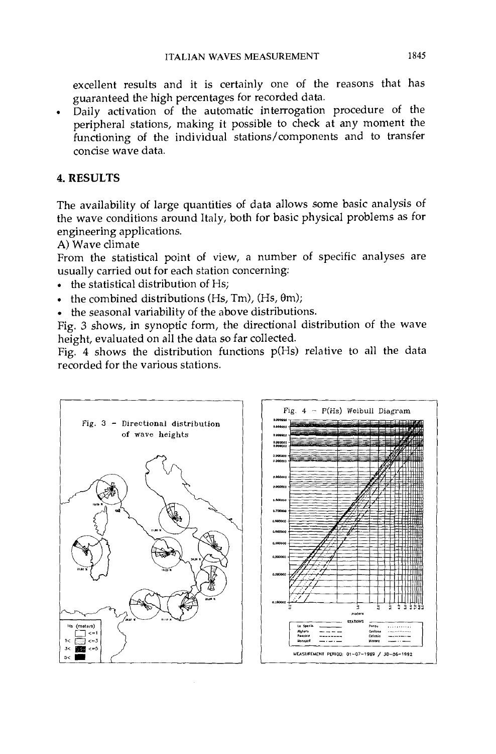excellent results and it is certainly one of the reasons that has guaranteed the high percentages for recorded data.

Daily activation of the automatic interrogation procedure of the peripheral stations, making it possible to check at any moment the functioning of the individual stations/components and to transfer concise wave data.

### 4. RESULTS

The availability of large quantities of data allows some basic analysis of the wave conditions around Italy, both for basic physical problems as for engineering applications.

A) Wave climate

From the statistical point of view, a number of specific analyses are usually carried out for each station concerning:

- the statistical distribution of Hs;
- the combined distributions (Hs, Tm), (Hs,  $\theta$ m);
- the seasonal variability of the above distributions.

Fig. 3 shows, in synoptic form, the directional distribution of the wave height, evaluated on all the data so far collected.

Fig. 4 shows the distribution functions p(Hs) relative to all the data recorded for the various stations.



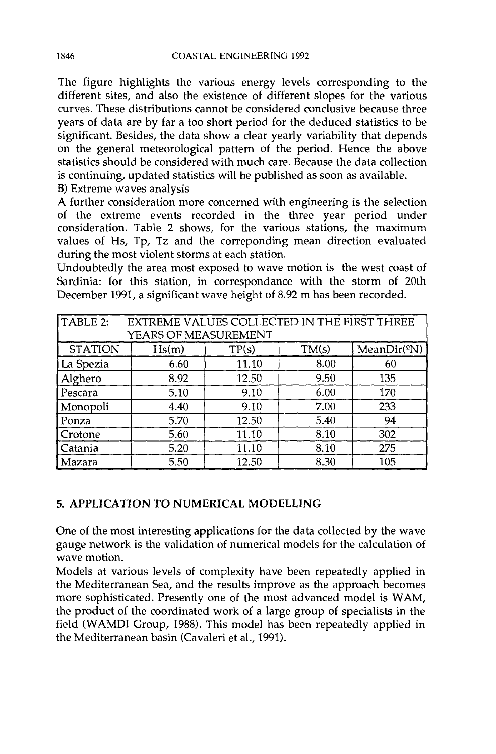The figure highlights the various energy levels corresponding to the different sites, and also the existence of different slopes for the various curves. These distributions cannot be considered conclusive because three years of data are by far a too short period for the deduced statistics to be significant. Besides, the data show a clear yearly variability that depends on the general meteorological pattern of the period. Hence the above statistics should be considered with much care. Because the data collection is continuing, updated statistics will be published as soon as available.

B) Extreme waves analysis

A further consideration more concerned with engineering is the selection of the extreme events recorded in the three year period under consideration. Table 2 shows, for the various stations, the maximum values of Hs, Tp, Tz and the correponding mean direction evaluated during the most violent storms at each station.

Undoubtedly the area most exposed to wave motion is the west coast of Sardinia: for this station, in correspondance with the storm of 20th December 1991, a significant wave height of 8.92 m has been recorded.

| EXTREME VALUES COLLECTED IN THE FIRST THREE<br>TABLE 2:<br>YEARS OF MEASUREMENT |       |       |       |             |  |  |  |  |  |  |
|---------------------------------------------------------------------------------|-------|-------|-------|-------------|--|--|--|--|--|--|
| <b>STATION</b>                                                                  | Hs(m) | TP(s) | TM(s) | MeanDir(ºN) |  |  |  |  |  |  |
| La Spezia                                                                       | 6.60  | 11.10 | 8.00  | 60          |  |  |  |  |  |  |
| Alghero                                                                         | 8.92  | 12.50 | 9.50  | 135         |  |  |  |  |  |  |
| Pescara                                                                         | 5.10  | 9.10  | 6.00  | 170         |  |  |  |  |  |  |
| Monopoli                                                                        | 4.40  | 9.10  | 7.00  | 233         |  |  |  |  |  |  |
| Ponza                                                                           | 5.70  | 12.50 | 5.40  | 94          |  |  |  |  |  |  |
| Crotone                                                                         | 5.60  | 11.10 | 8.10  | 302         |  |  |  |  |  |  |
| Catania                                                                         | 5.20  | 11.10 | 8.10  | 275         |  |  |  |  |  |  |
| Mazara                                                                          | 5.50  | 12.50 | 8.30  | 105         |  |  |  |  |  |  |

# **5. APPLICATION TO NUMERICAL MODELLING**

One of the most interesting applications for the data collected by the wave gauge network is the validation of numerical models for the calculation of wave motion.

Models at various levels of complexity have been repeatedly applied in the Mediterranean Sea, and the results improve as the approach becomes more sophisticated. Presently one of the most advanced model is WAM, the product of the coordinated work of a large group of specialists in the field (WAMDI Group, 1988). This model has been repeatedly applied in the Mediterranean basin (Cavaleri et al., 1991).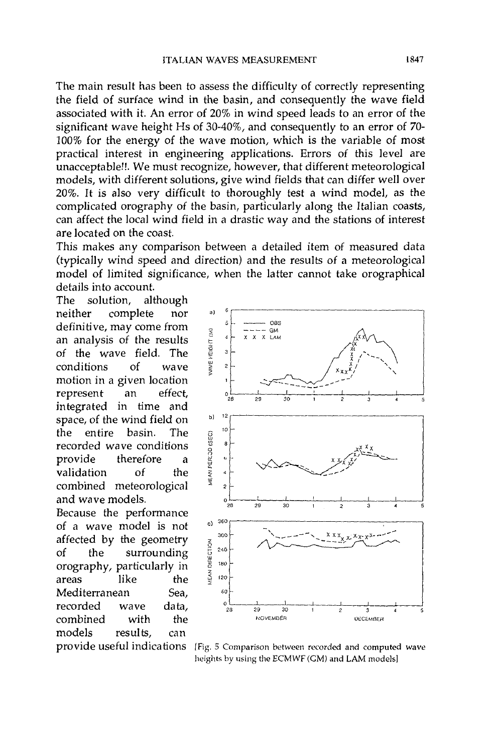The main result has been to assess the difficulty of correctly representing the field of surface wind in the basin, and consequently the wave field associated with it. An error of 20% in wind speed leads to an error of the significant wave height Hs of 30-40%, and consequently to an error of 70- 100% for the energy of the wave motion, which is the variable of most practical interest in engineering applications. Errors of this level are unacceptable!!. We must recognize, however, that different meteorological models, with different solutions, give wind fields that can differ well over 20%. It is also very difficult to thoroughly test a wind model, as the complicated orography of the basin, particularly along the Italian coasts, can affect the local wind field in a drastic way and the stations of interest are located on the coast.

This makes any comparison between a detailed item of measured data (typically wind speed and direction) and the results of a meteorological model of limited significance, when the latter cannot take orographical details into account.

The solution, although neither complete nor definitive, may come from an analysis of the results of the wave field. The conditions of wave motion in a given location represent an effect, integrated in time and space, of the wind field on the entire basin. The recorded wave conditions provide therefore a validation of the combined meteorological and wave models. Because the performance of a wave model is not affected by the geometry of the surrounding orography, particularly in areas like the Mediterranean Sea, recorded wave data, combined with the models results, can



provide useful indications [Fig. 5 Comparison between recorded and computed wave heights by using the ECMWF (CM) and LAM models]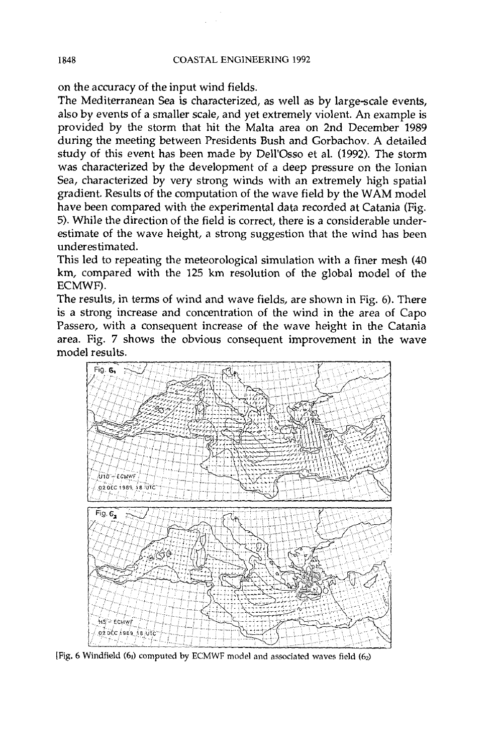on the accuracy of the input wind fields.

The Mediterranean Sea is characterized, as well as by large-scale events, also by events of a smaller scale, and yet extremely violent. An example is provided by the storm that hit the Malta area on 2nd December 1989 during the meeting between Presidents Bush and Gorbachov. A detailed study of this event has been made by Dell'Osso et al. (1992). The storm was characterized by the development of a deep pressure on the Ionian Sea, characterized by very strong winds with an extremely high spatial gradient. Results of the computation of the wave field by the WAM model have been compared with the experimental data recorded at Catania (Fig. 5). While the direction of the field is correct, there is a considerable underestimate of the wave height, a strong suggestion that the wind has been underestimated.

This led to repeating the meteorological simulation with a finer mesh (40 km, compared with the 125 km resolution of the global model of the ECMWF).

The results, in terms of wind and wave fields, are shown in Fig. 6). There is a strong increase and concentration of the wind in the area of Capo Passero, with a consequent increase of the wave height in the Catania area. Fig. 7 shows the obvious consequent improvement in the wave model results.



[Fig. 6 Windfield  $(6<sub>1</sub>)$  computed by ECMWF model and associated waves field  $(6<sub>2</sub>)$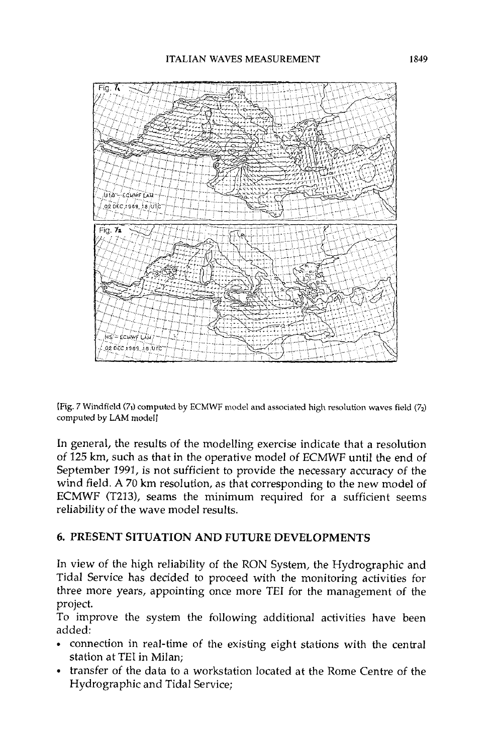

[Fig. 7 Windfield (7i) computed by ECMWF model and associated high resolution waves field *(7i)* computed by LAM model]

In general, the results of the modelling exercise indicate that a resolution of 125 km, such as that in the operative model of ECMWF until the end of September 1991, is not sufficient to provide the necessary accuracy of the wind field. A 70 km resolution, as that corresponding to the new model of ECMWF (T213), seams the minimum required for a sufficient seems reliability of the wave model results.

### **6. PRESENT SITUATION AND FUTURE DEVELOPMENTS**

In view of the high reliability of the RON System, the Hydrographic and Tidal Service has decided to proceed with the monitoring activities for three more years, appointing once more TEI for the management of the project.

To improve the system the following additional activities have been added:

- connection in real-time of the existing eight stations with the central station at TEI in Milan;
- transfer of the data to a workstation located at the Rome Centre of the Hydrographic and Tidal Service;